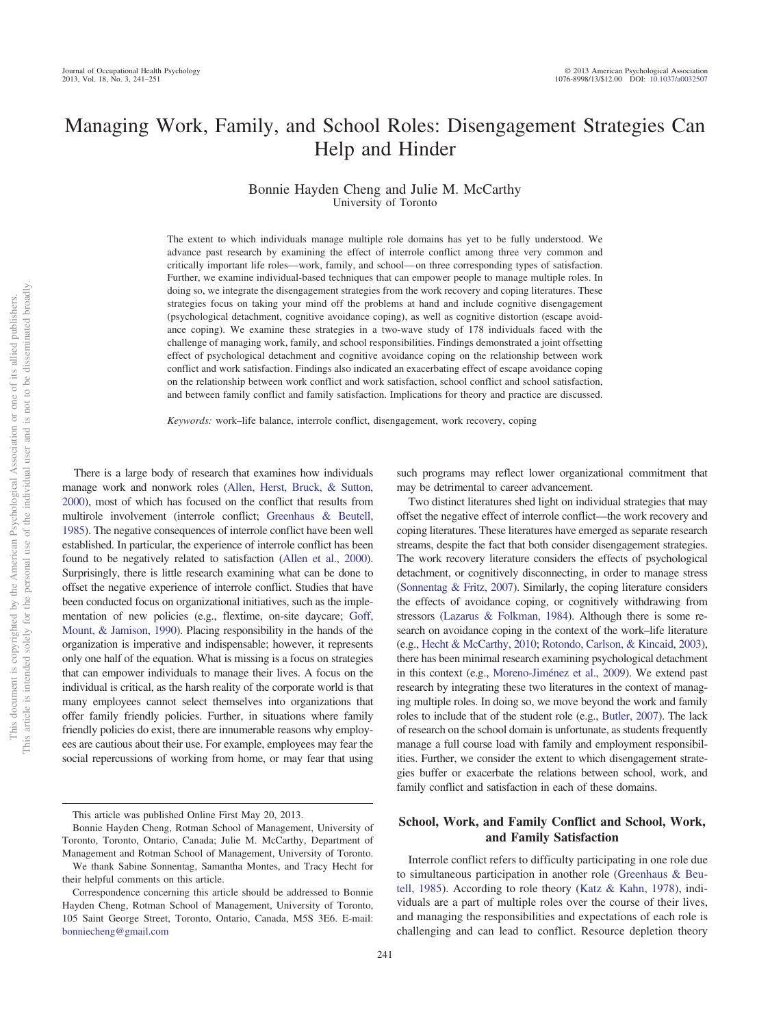# Managing Work, Family, and School Roles: Disengagement Strategies Can Help and Hinder

Bonnie Hayden Cheng and Julie M. McCarthy University of Toronto

The extent to which individuals manage multiple role domains has yet to be fully understood. We advance past research by examining the effect of interrole conflict among three very common and critically important life roles—work, family, and school— on three corresponding types of satisfaction. Further, we examine individual-based techniques that can empower people to manage multiple roles. In doing so, we integrate the disengagement strategies from the work recovery and coping literatures. These strategies focus on taking your mind off the problems at hand and include cognitive disengagement (psychological detachment, cognitive avoidance coping), as well as cognitive distortion (escape avoidance coping). We examine these strategies in a two-wave study of 178 individuals faced with the challenge of managing work, family, and school responsibilities. Findings demonstrated a joint offsetting effect of psychological detachment and cognitive avoidance coping on the relationship between work conflict and work satisfaction. Findings also indicated an exacerbating effect of escape avoidance coping on the relationship between work conflict and work satisfaction, school conflict and school satisfaction, and between family conflict and family satisfaction. Implications for theory and practice are discussed.

*Keywords:* work–life balance, interrole conflict, disengagement, work recovery, coping

There is a large body of research that examines how individuals manage work and nonwork roles [\(Allen, Herst, Bruck, & Sutton,](#page-8-0) [2000\)](#page-8-0), most of which has focused on the conflict that results from multirole involvement (interrole conflict; [Greenhaus & Beutell,](#page-9-0) [1985\)](#page-9-0). The negative consequences of interrole conflict have been well established. In particular, the experience of interrole conflict has been found to be negatively related to satisfaction [\(Allen et al., 2000\)](#page-8-0). Surprisingly, there is little research examining what can be done to offset the negative experience of interrole conflict. Studies that have been conducted focus on organizational initiatives, such as the implementation of new policies (e.g., flextime, on-site daycare; [Goff,](#page-9-1) [Mount, & Jamison, 1990\)](#page-9-1). Placing responsibility in the hands of the organization is imperative and indispensable; however, it represents only one half of the equation. What is missing is a focus on strategies that can empower individuals to manage their lives. A focus on the individual is critical, as the harsh reality of the corporate world is that many employees cannot select themselves into organizations that offer family friendly policies. Further, in situations where family friendly policies do exist, there are innumerable reasons why employees are cautious about their use. For example, employees may fear the social repercussions of working from home, or may fear that using such programs may reflect lower organizational commitment that may be detrimental to career advancement.

Two distinct literatures shed light on individual strategies that may offset the negative effect of interrole conflict—the work recovery and coping literatures. These literatures have emerged as separate research streams, despite the fact that both consider disengagement strategies. The work recovery literature considers the effects of psychological detachment, or cognitively disconnecting, in order to manage stress [\(Sonnentag & Fritz, 2007\)](#page-10-0). Similarly, the coping literature considers the effects of avoidance coping, or cognitively withdrawing from stressors [\(Lazarus & Folkman, 1984\)](#page-9-2). Although there is some research on avoidance coping in the context of the work–life literature (e.g., [Hecht & McCarthy, 2010;](#page-9-3) [Rotondo, Carlson, & Kincaid, 2003\)](#page-9-4), there has been minimal research examining psychological detachment in this context (e.g., [Moreno-Jiménez et al., 2009\)](#page-9-5). We extend past research by integrating these two literatures in the context of managing multiple roles. In doing so, we move beyond the work and family roles to include that of the student role (e.g., [Butler, 2007\)](#page-8-1). The lack of research on the school domain is unfortunate, as students frequently manage a full course load with family and employment responsibilities. Further, we consider the extent to which disengagement strategies buffer or exacerbate the relations between school, work, and family conflict and satisfaction in each of these domains.

# **School, Work, and Family Conflict and School, Work, and Family Satisfaction**

Interrole conflict refers to difficulty participating in one role due to simultaneous participation in another role [\(Greenhaus & Beu](#page-9-0)[tell, 1985\)](#page-9-0). According to role theory [\(Katz & Kahn, 1978\)](#page-9-6), individuals are a part of multiple roles over the course of their lives, and managing the responsibilities and expectations of each role is challenging and can lead to conflict. Resource depletion theory

This article was published Online First May 20, 2013.

Bonnie Hayden Cheng, Rotman School of Management, University of Toronto, Toronto, Ontario, Canada; Julie M. McCarthy, Department of Management and Rotman School of Management, University of Toronto.

We thank Sabine Sonnentag, Samantha Montes, and Tracy Hecht for their helpful comments on this article.

Correspondence concerning this article should be addressed to Bonnie Hayden Cheng, Rotman School of Management, University of Toronto, 105 Saint George Street, Toronto, Ontario, Canada, M5S 3E6. E-mail: [bonniecheng@gmail.com](mailto:bonniecheng@gmail.com)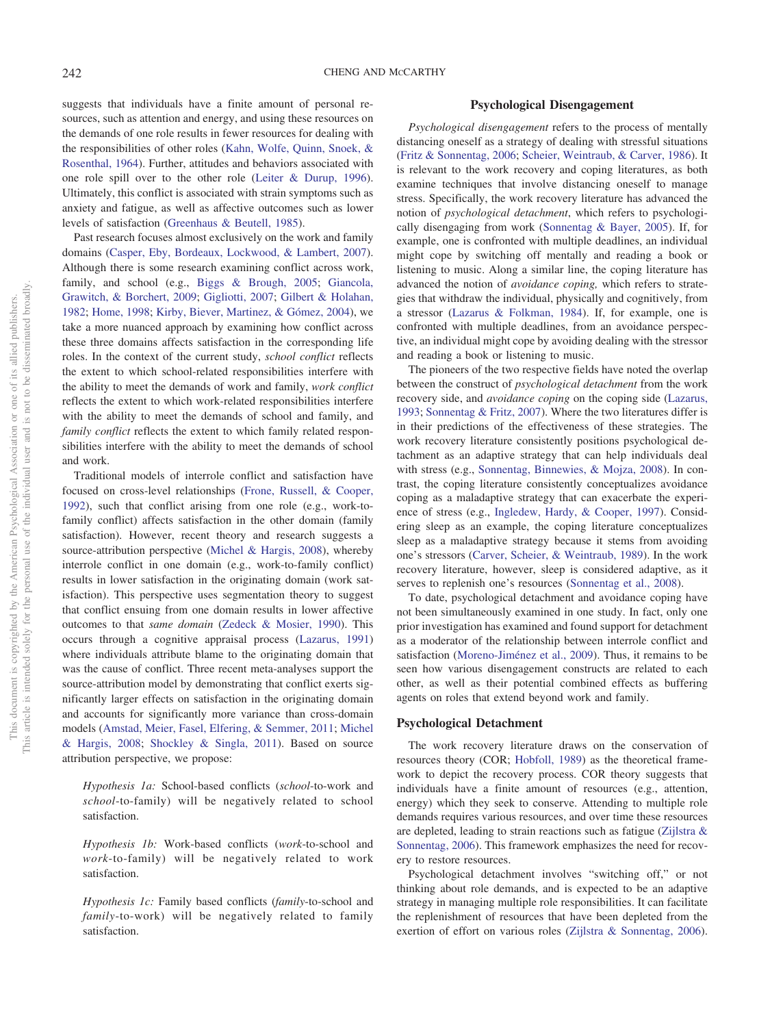suggests that individuals have a finite amount of personal resources, such as attention and energy, and using these resources on the demands of one role results in fewer resources for dealing with the responsibilities of other roles [\(Kahn, Wolfe, Quinn, Snoek, &](#page-9-7) [Rosenthal, 1964\)](#page-9-7). Further, attitudes and behaviors associated with one role spill over to the other role [\(Leiter & Durup, 1996\)](#page-9-8). Ultimately, this conflict is associated with strain symptoms such as anxiety and fatigue, as well as affective outcomes such as lower levels of satisfaction [\(Greenhaus & Beutell, 1985\)](#page-9-0).

Past research focuses almost exclusively on the work and family domains [\(Casper, Eby, Bordeaux, Lockwood, & Lambert, 2007\)](#page-8-2). Although there is some research examining conflict across work, family, and school (e.g., [Biggs & Brough, 2005;](#page-8-3) [Giancola,](#page-9-9) [Grawitch, & Borchert, 2009;](#page-9-9) [Gigliotti, 2007;](#page-9-10) [Gilbert & Holahan,](#page-9-11) [1982;](#page-9-11) [Home, 1998;](#page-9-12) [Kirby, Biever, Martinez, & Gómez, 2004\)](#page-9-13), we take a more nuanced approach by examining how conflict across these three domains affects satisfaction in the corresponding life roles. In the context of the current study, *school conflict* reflects the extent to which school-related responsibilities interfere with the ability to meet the demands of work and family, *work conflict* reflects the extent to which work-related responsibilities interfere with the ability to meet the demands of school and family, and *family conflict* reflects the extent to which family related responsibilities interfere with the ability to meet the demands of school and work.

Traditional models of interrole conflict and satisfaction have focused on cross-level relationships [\(Frone, Russell, & Cooper,](#page-8-4) [1992\)](#page-8-4), such that conflict arising from one role (e.g., work-tofamily conflict) affects satisfaction in the other domain (family satisfaction). However, recent theory and research suggests a source-attribution perspective [\(Michel & Hargis, 2008\)](#page-9-14), whereby interrole conflict in one domain (e.g., work-to-family conflict) results in lower satisfaction in the originating domain (work satisfaction). This perspective uses segmentation theory to suggest that conflict ensuing from one domain results in lower affective outcomes to that *same domain* [\(Zedeck & Mosier, 1990\)](#page-10-1). This occurs through a cognitive appraisal process [\(Lazarus, 1991\)](#page-9-15) where individuals attribute blame to the originating domain that was the cause of conflict. Three recent meta-analyses support the source-attribution model by demonstrating that conflict exerts significantly larger effects on satisfaction in the originating domain and accounts for significantly more variance than cross-domain models [\(Amstad, Meier, Fasel, Elfering, & Semmer, 2011;](#page-8-5) [Michel](#page-9-14) [& Hargis, 2008;](#page-9-14) [Shockley & Singla, 2011\)](#page-9-16). Based on source attribution perspective, we propose:

*Hypothesis 1a:* School-based conflicts (*school*-to-work and *school*-to-family) will be negatively related to school satisfaction.

*Hypothesis 1b:* Work-based conflicts (*work*-to-school and *work*-to-family) will be negatively related to work satisfaction.

*Hypothesis 1c:* Family based conflicts (*family*-to-school and *family*-to-work) will be negatively related to family satisfaction.

#### **Psychological Disengagement**

*Psychological disengagement* refers to the process of mentally distancing oneself as a strategy of dealing with stressful situations [\(Fritz & Sonnentag, 2006;](#page-8-6) [Scheier, Weintraub, & Carver, 1986\)](#page-9-17). It is relevant to the work recovery and coping literatures, as both examine techniques that involve distancing oneself to manage stress. Specifically, the work recovery literature has advanced the notion of *psychological detachment*, which refers to psychologically disengaging from work [\(Sonnentag & Bayer, 2005\)](#page-10-2). If, for example, one is confronted with multiple deadlines, an individual might cope by switching off mentally and reading a book or listening to music. Along a similar line, the coping literature has advanced the notion of *avoidance coping,* which refers to strategies that withdraw the individual, physically and cognitively, from a stressor [\(Lazarus & Folkman, 1984\)](#page-9-2). If, for example, one is confronted with multiple deadlines, from an avoidance perspective, an individual might cope by avoiding dealing with the stressor and reading a book or listening to music.

The pioneers of the two respective fields have noted the overlap between the construct of *psychological detachment* from the work recovery side, and *avoidance coping* on the coping side [\(Lazarus,](#page-9-18) [1993;](#page-9-18) [Sonnentag & Fritz, 2007\)](#page-10-0). Where the two literatures differ is in their predictions of the effectiveness of these strategies. The work recovery literature consistently positions psychological detachment as an adaptive strategy that can help individuals deal with stress (e.g., [Sonnentag, Binnewies, & Mojza, 2008\)](#page-10-3). In contrast, the coping literature consistently conceptualizes avoidance coping as a maladaptive strategy that can exacerbate the experience of stress (e.g., [Ingledew, Hardy, & Cooper, 1997\)](#page-9-19). Considering sleep as an example, the coping literature conceptualizes sleep as a maladaptive strategy because it stems from avoiding one's stressors [\(Carver, Scheier, & Weintraub, 1989\)](#page-8-7). In the work recovery literature, however, sleep is considered adaptive, as it serves to replenish one's resources [\(Sonnentag et al., 2008\)](#page-10-3).

To date, psychological detachment and avoidance coping have not been simultaneously examined in one study. In fact, only one prior investigation has examined and found support for detachment as a moderator of the relationship between interrole conflict and satisfaction [\(Moreno-Jiménez et al., 2009\)](#page-9-5). Thus, it remains to be seen how various disengagement constructs are related to each other, as well as their potential combined effects as buffering agents on roles that extend beyond work and family.

#### **Psychological Detachment**

The work recovery literature draws on the conservation of resources theory (COR; [Hobfoll, 1989\)](#page-9-20) as the theoretical framework to depict the recovery process. COR theory suggests that individuals have a finite amount of resources (e.g., attention, energy) which they seek to conserve. Attending to multiple role demands requires various resources, and over time these resources are depleted, leading to strain reactions such as fatigue [\(Zijlstra &](#page-10-4) [Sonnentag, 2006\)](#page-10-4). This framework emphasizes the need for recovery to restore resources.

Psychological detachment involves "switching off," or not thinking about role demands, and is expected to be an adaptive strategy in managing multiple role responsibilities. It can facilitate the replenishment of resources that have been depleted from the exertion of effort on various roles [\(Zijlstra & Sonnentag, 2006\)](#page-10-4).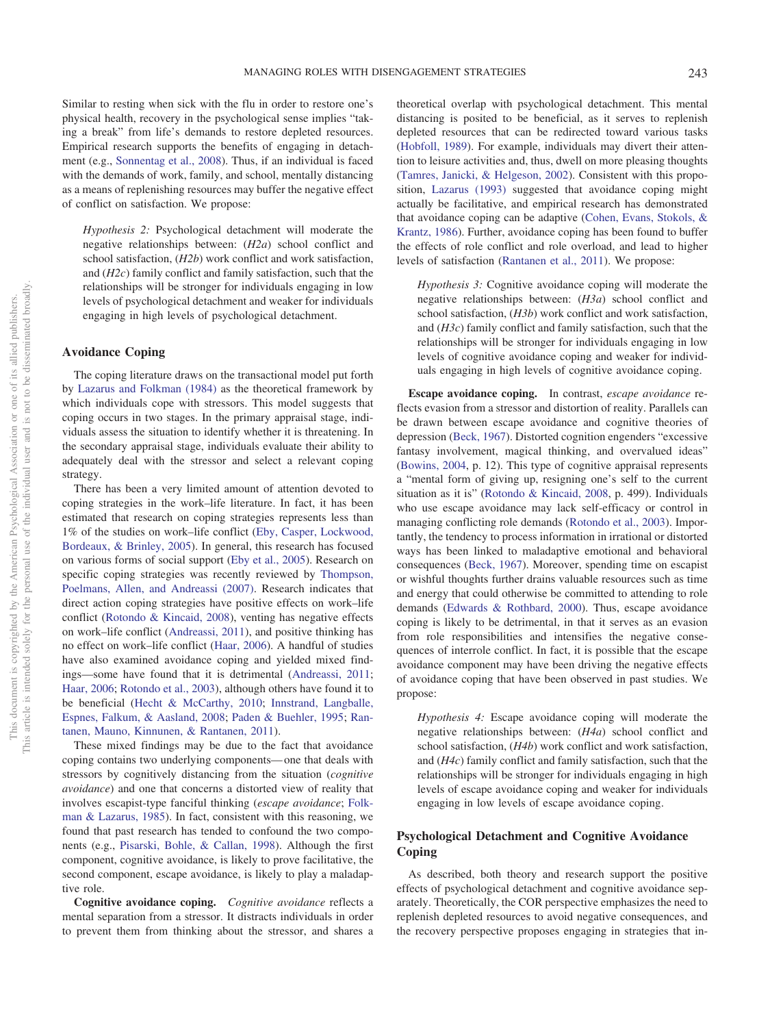Similar to resting when sick with the flu in order to restore one's physical health, recovery in the psychological sense implies "taking a break" from life's demands to restore depleted resources. Empirical research supports the benefits of engaging in detachment (e.g., [Sonnentag et al., 2008\)](#page-10-3). Thus, if an individual is faced with the demands of work, family, and school, mentally distancing as a means of replenishing resources may buffer the negative effect of conflict on satisfaction. We propose:

*Hypothesis 2:* Psychological detachment will moderate the negative relationships between: (*H2a*) school conflict and school satisfaction, (*H2b*) work conflict and work satisfaction, and (*H2c*) family conflict and family satisfaction, such that the relationships will be stronger for individuals engaging in low levels of psychological detachment and weaker for individuals engaging in high levels of psychological detachment.

## **Avoidance Coping**

The coping literature draws on the transactional model put forth by [Lazarus and Folkman \(1984\)](#page-9-2) as the theoretical framework by which individuals cope with stressors. This model suggests that coping occurs in two stages. In the primary appraisal stage, individuals assess the situation to identify whether it is threatening. In the secondary appraisal stage, individuals evaluate their ability to adequately deal with the stressor and select a relevant coping strategy.

There has been a very limited amount of attention devoted to coping strategies in the work–life literature. In fact, it has been estimated that research on coping strategies represents less than 1% of the studies on work–life conflict [\(Eby, Casper, Lockwood,](#page-8-8) [Bordeaux, & Brinley, 2005\)](#page-8-8). In general, this research has focused on various forms of social support [\(Eby et al., 2005\)](#page-8-8). Research on specific coping strategies was recently reviewed by [Thompson,](#page-10-5) [Poelmans, Allen, and Andreassi \(2007\).](#page-10-5) Research indicates that direct action coping strategies have positive effects on work–life conflict [\(Rotondo & Kincaid, 2008\)](#page-9-21), venting has negative effects on work–life conflict [\(Andreassi, 2011\)](#page-8-9), and positive thinking has no effect on work–life conflict [\(Haar, 2006\)](#page-9-22). A handful of studies have also examined avoidance coping and yielded mixed findings—some have found that it is detrimental [\(Andreassi, 2011;](#page-8-9) [Haar, 2006;](#page-9-22) [Rotondo et al., 2003\)](#page-9-4), although others have found it to be beneficial [\(Hecht & McCarthy, 2010;](#page-9-3) [Innstrand, Langballe,](#page-9-23) [Espnes, Falkum, & Aasland, 2008;](#page-9-23) [Paden & Buehler, 1995;](#page-9-24) [Ran](#page-9-25)[tanen, Mauno, Kinnunen, & Rantanen, 2011\)](#page-9-25).

These mixed findings may be due to the fact that avoidance coping contains two underlying components— one that deals with stressors by cognitively distancing from the situation (*cognitive avoidance*) and one that concerns a distorted view of reality that involves escapist-type fanciful thinking (*escape avoidance*; [Folk](#page-8-10)[man & Lazarus, 1985\)](#page-8-10). In fact, consistent with this reasoning, we found that past research has tended to confound the two components (e.g., [Pisarski, Bohle, & Callan, 1998\)](#page-9-26). Although the first component, cognitive avoidance, is likely to prove facilitative, the second component, escape avoidance, is likely to play a maladaptive role.

**Cognitive avoidance coping.** *Cognitive avoidance* reflects a mental separation from a stressor. It distracts individuals in order to prevent them from thinking about the stressor, and shares a theoretical overlap with psychological detachment. This mental distancing is posited to be beneficial, as it serves to replenish depleted resources that can be redirected toward various tasks [\(Hobfoll, 1989\)](#page-9-20). For example, individuals may divert their attention to leisure activities and, thus, dwell on more pleasing thoughts [\(Tamres, Janicki, & Helgeson, 2002\)](#page-10-6). Consistent with this proposition, [Lazarus \(1993\)](#page-9-18) suggested that avoidance coping might actually be facilitative, and empirical research has demonstrated that avoidance coping can be adaptive [\(Cohen, Evans, Stokols, &](#page-8-11) [Krantz, 1986\)](#page-8-11). Further, avoidance coping has been found to buffer the effects of role conflict and role overload, and lead to higher levels of satisfaction [\(Rantanen et al., 2011\)](#page-9-25). We propose:

*Hypothesis 3:* Cognitive avoidance coping will moderate the negative relationships between: (*H3a*) school conflict and school satisfaction, (*H3b*) work conflict and work satisfaction, and (*H3c*) family conflict and family satisfaction, such that the relationships will be stronger for individuals engaging in low levels of cognitive avoidance coping and weaker for individuals engaging in high levels of cognitive avoidance coping.

**Escape avoidance coping.** In contrast, *escape avoidance* reflects evasion from a stressor and distortion of reality. Parallels can be drawn between escape avoidance and cognitive theories of depression [\(Beck, 1967\)](#page-8-12). Distorted cognition engenders "excessive fantasy involvement, magical thinking, and overvalued ideas" [\(Bowins, 2004,](#page-8-13) p. 12). This type of cognitive appraisal represents a "mental form of giving up, resigning one's self to the current situation as it is" [\(Rotondo & Kincaid, 2008,](#page-9-21) p. 499). Individuals who use escape avoidance may lack self-efficacy or control in managing conflicting role demands [\(Rotondo et al., 2003\)](#page-9-4). Importantly, the tendency to process information in irrational or distorted ways has been linked to maladaptive emotional and behavioral consequences [\(Beck, 1967\)](#page-8-12). Moreover, spending time on escapist or wishful thoughts further drains valuable resources such as time and energy that could otherwise be committed to attending to role demands [\(Edwards & Rothbard, 2000\)](#page-8-14). Thus, escape avoidance coping is likely to be detrimental, in that it serves as an evasion from role responsibilities and intensifies the negative consequences of interrole conflict. In fact, it is possible that the escape avoidance component may have been driving the negative effects of avoidance coping that have been observed in past studies. We propose:

*Hypothesis 4:* Escape avoidance coping will moderate the negative relationships between: (*H4a*) school conflict and school satisfaction, (*H4b*) work conflict and work satisfaction, and (*H4c*) family conflict and family satisfaction, such that the relationships will be stronger for individuals engaging in high levels of escape avoidance coping and weaker for individuals engaging in low levels of escape avoidance coping.

# **Psychological Detachment and Cognitive Avoidance Coping**

As described, both theory and research support the positive effects of psychological detachment and cognitive avoidance separately. Theoretically, the COR perspective emphasizes the need to replenish depleted resources to avoid negative consequences, and the recovery perspective proposes engaging in strategies that in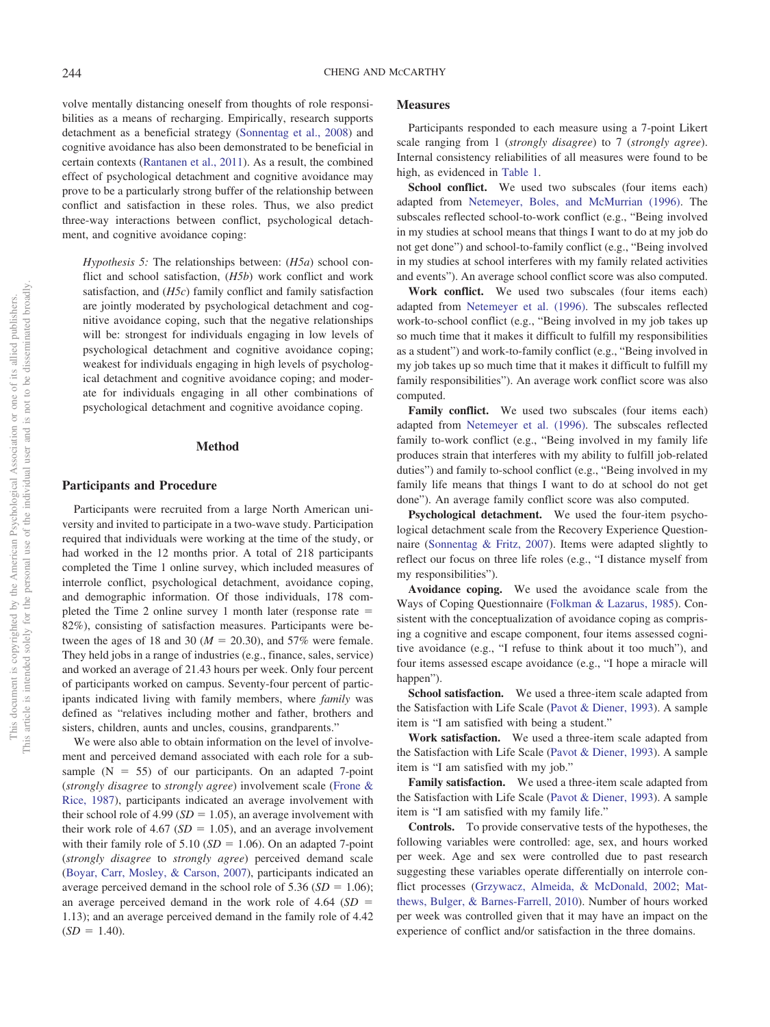volve mentally distancing oneself from thoughts of role responsibilities as a means of recharging. Empirically, research supports detachment as a beneficial strategy [\(Sonnentag et al., 2008\)](#page-10-3) and cognitive avoidance has also been demonstrated to be beneficial in certain contexts [\(Rantanen et al., 2011\)](#page-9-25). As a result, the combined effect of psychological detachment and cognitive avoidance may prove to be a particularly strong buffer of the relationship between conflict and satisfaction in these roles. Thus, we also predict three-way interactions between conflict, psychological detachment, and cognitive avoidance coping:

*Hypothesis 5:* The relationships between: (*H5a*) school conflict and school satisfaction, (*H5b*) work conflict and work satisfaction, and (*H5c*) family conflict and family satisfaction are jointly moderated by psychological detachment and cognitive avoidance coping, such that the negative relationships will be: strongest for individuals engaging in low levels of psychological detachment and cognitive avoidance coping; weakest for individuals engaging in high levels of psychological detachment and cognitive avoidance coping; and moderate for individuals engaging in all other combinations of psychological detachment and cognitive avoidance coping.

#### **Method**

#### **Participants and Procedure**

Participants were recruited from a large North American university and invited to participate in a two-wave study. Participation required that individuals were working at the time of the study, or had worked in the 12 months prior. A total of 218 participants completed the Time 1 online survey, which included measures of interrole conflict, psychological detachment, avoidance coping, and demographic information. Of those individuals, 178 completed the Time 2 online survey 1 month later (response rate  $=$ 82%), consisting of satisfaction measures. Participants were between the ages of 18 and 30 ( $M = 20.30$ ), and 57% were female. They held jobs in a range of industries (e.g., finance, sales, service) and worked an average of 21.43 hours per week. Only four percent of participants worked on campus. Seventy-four percent of participants indicated living with family members, where *family* was defined as "relatives including mother and father, brothers and sisters, children, aunts and uncles, cousins, grandparents."

We were also able to obtain information on the level of involvement and perceived demand associated with each role for a subsample  $(N = 55)$  of our participants. On an adapted 7-point (*strongly disagree* to *strongly agree*) involvement scale [\(Frone &](#page-8-15) [Rice, 1987\)](#page-8-15), participants indicated an average involvement with their school role of 4.99 ( $SD = 1.05$ ), an average involvement with their work role of 4.67 ( $SD = 1.05$ ), and an average involvement with their family role of  $5.10$  ( $SD = 1.06$ ). On an adapted 7-point (*strongly disagree* to *strongly agree*) perceived demand scale [\(Boyar, Carr, Mosley, & Carson, 2007\)](#page-8-16), participants indicated an average perceived demand in the school role of  $5.36$  (*SD* = 1.06); an average perceived demand in the work role of 4.64 (*SD* 1.13); and an average perceived demand in the family role of 4.42  $(SD = 1.40)$ .

#### **Measures**

Participants responded to each measure using a 7-point Likert scale ranging from 1 (*strongly disagree*) to 7 (*strongly agree*). Internal consistency reliabilities of all measures were found to be high, as evidenced in [Table 1.](#page-4-0)

School conflict. We used two subscales (four items each) adapted from [Netemeyer, Boles, and McMurrian \(1996\).](#page-9-27) The subscales reflected school-to-work conflict (e.g., "Being involved in my studies at school means that things I want to do at my job do not get done") and school-to-family conflict (e.g., "Being involved in my studies at school interferes with my family related activities and events"). An average school conflict score was also computed.

**Work conflict.** We used two subscales (four items each) adapted from [Netemeyer et al. \(1996\).](#page-9-27) The subscales reflected work-to-school conflict (e.g., "Being involved in my job takes up so much time that it makes it difficult to fulfill my responsibilities as a student") and work-to-family conflict (e.g., "Being involved in my job takes up so much time that it makes it difficult to fulfill my family responsibilities"). An average work conflict score was also computed.

Family conflict. We used two subscales (four items each) adapted from [Netemeyer et al. \(1996\).](#page-9-27) The subscales reflected family to-work conflict (e.g., "Being involved in my family life produces strain that interferes with my ability to fulfill job-related duties") and family to-school conflict (e.g., "Being involved in my family life means that things I want to do at school do not get done"). An average family conflict score was also computed.

**Psychological detachment.** We used the four-item psychological detachment scale from the Recovery Experience Questionnaire [\(Sonnentag & Fritz, 2007\)](#page-10-0). Items were adapted slightly to reflect our focus on three life roles (e.g., "I distance myself from my responsibilities").

**Avoidance coping.** We used the avoidance scale from the Ways of Coping Questionnaire [\(Folkman & Lazarus, 1985\)](#page-8-10). Consistent with the conceptualization of avoidance coping as comprising a cognitive and escape component, four items assessed cognitive avoidance (e.g., "I refuse to think about it too much"), and four items assessed escape avoidance (e.g., "I hope a miracle will happen").

**School satisfaction.** We used a three-item scale adapted from the Satisfaction with Life Scale [\(Pavot & Diener, 1993\)](#page-9-28). A sample item is "I am satisfied with being a student."

**Work satisfaction.** We used a three-item scale adapted from the Satisfaction with Life Scale [\(Pavot & Diener, 1993\)](#page-9-28). A sample item is "I am satisfied with my job."

**Family satisfaction.** We used a three-item scale adapted from the Satisfaction with Life Scale [\(Pavot & Diener, 1993\)](#page-9-28). A sample item is "I am satisfied with my family life."

**Controls.** To provide conservative tests of the hypotheses, the following variables were controlled: age, sex, and hours worked per week. Age and sex were controlled due to past research suggesting these variables operate differentially on interrole conflict processes [\(Grzywacz, Almeida, & McDonald, 2002;](#page-9-29) [Mat](#page-9-30)[thews, Bulger, & Barnes-Farrell, 2010\)](#page-9-30). Number of hours worked per week was controlled given that it may have an impact on the experience of conflict and/or satisfaction in the three domains.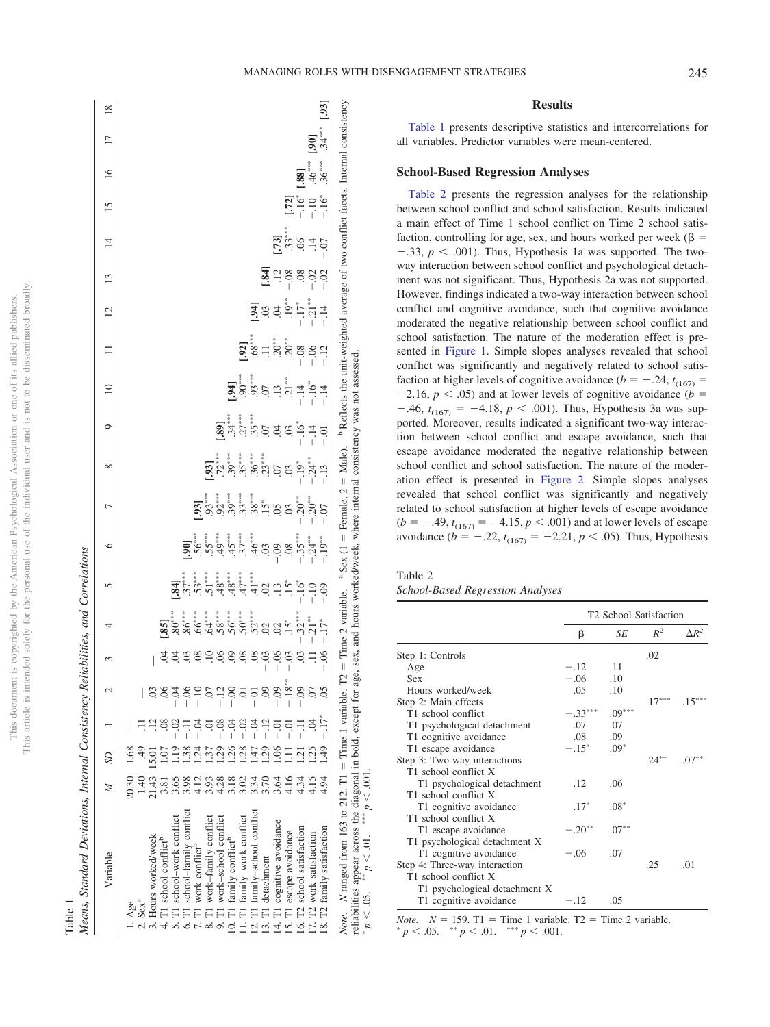<span id="page-4-0"></span>Table 1

Means, Standard Deviations, Internal Consistency Reliabilities, and Correlations *Means, Standard Deviations, Internal Consistency Reliabilities, and Correlations*

| Variable                                                                                                                                                                                                                                                                                                                                                                                                                                                                                                         |                                                                                                                                            | $M$ SD                                                                                                                                                 |                                                                  |                                                                     | 3                                                                                                                                               | 4                                                                               |                                                               | $\circ$                                                                                                                                                                                                                                                                                                                                                                               |                                                 | ${}^{\circ}$                                                                        | 0                                                                                                                                                            | $\approx$                                                                                                                                                                                                                                                                                                                                                                                                                                       |                                                                                                     | $\overline{2}$                                                                                               | $\overline{13}$                                            | $\overline{1}$                                               | $15 \,$                                    | $\overline{16}$               | 17                | $\frac{8}{18}$ |
|------------------------------------------------------------------------------------------------------------------------------------------------------------------------------------------------------------------------------------------------------------------------------------------------------------------------------------------------------------------------------------------------------------------------------------------------------------------------------------------------------------------|--------------------------------------------------------------------------------------------------------------------------------------------|--------------------------------------------------------------------------------------------------------------------------------------------------------|------------------------------------------------------------------|---------------------------------------------------------------------|-------------------------------------------------------------------------------------------------------------------------------------------------|---------------------------------------------------------------------------------|---------------------------------------------------------------|---------------------------------------------------------------------------------------------------------------------------------------------------------------------------------------------------------------------------------------------------------------------------------------------------------------------------------------------------------------------------------------|-------------------------------------------------|-------------------------------------------------------------------------------------|--------------------------------------------------------------------------------------------------------------------------------------------------------------|-------------------------------------------------------------------------------------------------------------------------------------------------------------------------------------------------------------------------------------------------------------------------------------------------------------------------------------------------------------------------------------------------------------------------------------------------|-----------------------------------------------------------------------------------------------------|--------------------------------------------------------------------------------------------------------------|------------------------------------------------------------|--------------------------------------------------------------|--------------------------------------------|-------------------------------|-------------------|----------------|
| 6. T1 school-family conflict<br>12. T1 family-school conflict<br>1. T1 family-work conflict<br>8. T1 work-family conflict<br>I1 work-school conflict<br>5. T1 school-work conflict<br>14. T1 cognitive avoidance<br>16. T2 school satisfaction<br>8. T2 family satisfaction<br>15. T1 escape avoidance<br>7. T2 work satisfaction<br>3. Hours worked/week<br>.0. T1 family conflictb<br>4. T1 school conflict <sup>p</sup><br>7. T1 work conflict <sup>b</sup><br>13. T1 detachment<br>$2.$ Sex $^{a}$<br>1. Age | 4.16<br>4.94<br>20.30<br>1.40<br>3.64<br>4.34<br>4.15<br>21.43<br>3.98<br>$4.28$<br>3.18<br>3.34<br>3.93<br>3.02<br>3.70<br>$\frac{17}{4}$ | $\frac{49}{1}$<br>0.06<br>1.68<br>$\ddot{c}$<br>.29<br>38<br>$\ddot{5}$<br>.28<br>$-47$<br>25<br>.37<br><b>SC</b><br>Ę<br>$\overline{c}$<br>ą<br>15.01 | $-0.8$<br>$-0.4$<br>$-02$<br>$-0.4$<br>$-12$<br>Ξ<br>Γ<br>Ξ<br>Γ | $-.18***$<br>$-100$<br>$-107$<br>$-120$<br>$-10$<br>$-10$<br>$-0.9$ | $-06$<br>$\overline{0}$<br>$08$<br>$\overline{10}$<br>$\rm 90$<br>$60$<br>08<br>08<br>$-03$<br>$-0.06$<br>$-03$<br>$\ddot{5}$<br>$\overline{0}$ | $\begin{bmatrix} .85 \\ .80 \\ \end{bmatrix}$<br>$.32***$<br>$-21***$<br>$-17*$ | $-15^{*}$<br>$-16^{*}$<br>$\overline{.13}$<br>$-10$<br>$-0.9$ | $\begin{bmatrix} 0 & 0 & 0 \\ 0 & 0 & 0 \\ 0 & 0 & 0 \\ 0 & 0 & 0 \\ 0 & 0 & 0 \\ 0 & 0 & 0 \\ 0 & 0 & 0 \\ 0 & 0 & 0 \\ 0 & 0 & 0 \\ 0 & 0 & 0 \\ 0 & 0 & 0 \\ 0 & 0 & 0 \\ 0 & 0 & 0 \\ 0 & 0 & 0 \\ 0 & 0 & 0 \\ 0 & 0 & 0 \\ 0 & 0 & 0 & 0 \\ 0 & 0 & 0 & 0 \\ 0 & 0 & 0 & 0 \\ 0 & 0 & 0 & 0 \\ 0 & 0 & 0 & 0 \\ 0 & 0 & 0 & $<br>$-35$<br>$-35$<br>$-24$<br>$.19***$<br>$-0.09$ | $-.20***$<br>$-.20***$<br>$^{[.93]}$<br>$-0.07$ | $-19$ <sup>*</sup><br>$-24$ <sup>**</sup><br>$\overline{C}$<br>$03$<br>$\ddot{.}13$ | $\overline{\mathbf{39}}$ $\overset{}{\mathbf{37}}$ $\overset{}{\mathbf{59}}$ $\overset{}{\mathbf{59}}$ $\mathbf{69}$<br>$-16^{*}$<br>$\overline{0}$<br>$-14$ | $\begin{array}{c} \mathbf{1}_{3} = \mathbf{1}_{3} = \mathbf{1}_{3} = \mathbf{1}_{3} = \mathbf{1}_{3} = \mathbf{1}_{3} = \mathbf{1}_{3} = \mathbf{1}_{3} = \mathbf{1}_{3} = \mathbf{1}_{3} = \mathbf{1}_{3} = \mathbf{1}_{3} = \mathbf{1}_{3} = \mathbf{1}_{3} = \mathbf{1}_{3} = \mathbf{1}_{3} = \mathbf{1}_{3} = \mathbf{1}_{3} = \mathbf{1}_{3} = \mathbf{1}_{3} = \mathbf{1}_{3} = \mathbf{1}_{3} = \mathbf{1}_{3} = \mathbf{1}_{$<br>$-14$ | $\frac{2}{3}$<br>$\frac{1}{3}$<br>$\frac{1}{2}$<br>$\frac{1}{2}$<br>$\frac{1}{2}$<br>$-08$<br>$-06$ | $\frac{1}{1}$<br>$\frac{5}{1}$<br>$\frac{1}{2}$<br>$\frac{1}{1}$<br>$\frac{1}{2}$<br><b>इ</b> .8 इ.<br>$-14$ | [.84]<br>$\ddot{c}$<br>$-.02$<br>$\overline{0}$<br>$-0.02$ | $\left[ .73 \right]$<br>66<br>$\ddot{=}$<br>$\overline{0}$ . | $\frac{[72]}{[-10]}$<br>$-16$ <sup>*</sup> | $.36***$<br>$.46***$<br>[.88] | $.34***$<br>[.90] | [.93]          |
| <i>Note.</i> N ranged from 163 to 212. T1 = Time 1 variable. T2 = Time 2 variable. <sup>a</sup> Sex (1 = Female, 2 = Male). <sup>b</sup> Reflects the unit-weighted average of two conflict facets. Internal consistency<br>reliabilities appear across the diagonal in bold, except for age, sex, and hours worked/week, where internal consistency was not assessed<br>$p < .05.$ * $p < .01.$ * * $p < .001.$                                                                                                 |                                                                                                                                            |                                                                                                                                                        |                                                                  |                                                                     |                                                                                                                                                 |                                                                                 |                                                               |                                                                                                                                                                                                                                                                                                                                                                                       |                                                 |                                                                                     |                                                                                                                                                              |                                                                                                                                                                                                                                                                                                                                                                                                                                                 |                                                                                                     |                                                                                                              |                                                            |                                                              |                                            |                               |                   |                |

#### **Results**

[Table 1](#page-4-0) presents descriptive statistics and intercorrelations for all variables. Predictor variables were mean-centered.

#### **School-Based Regression Analyses**

[Table 2](#page-4-1) presents the regression analyses for the relationship between school conflict and school satisfaction. Results indicated a main effect of Time 1 school conflict on Time 2 school satisfaction, controlling for age, sex, and hours worked per week ( $\beta =$  $-0.33$ ,  $p < 0.001$ ). Thus, Hypothesis 1a was supported. The twoway interaction between school conflict and psychological detachment was not significant. Thus, Hypothesis 2a was not supported. However, findings indicated a two-way interaction between school conflict and cognitive avoidance, such that cognitive avoidance moderated the negative relationship between school conflict and school satisfaction. The nature of the moderation effect is presented in [Figure 1.](#page-5-0) Simple slopes analyses revealed that school conflict was significantly and negatively related to school satisfaction at higher levels of cognitive avoidance ( $b = -.24$ ,  $t_{(167)} =$  $-2.16$ ,  $p < .05$ ) and at lower levels of cognitive avoidance (*b* =  $-0.46$ ,  $t_{(167)} = -4.18$ ,  $p < 0.001$ ). Thus, Hypothesis 3a was supported. Moreover, results indicated a significant two-way interaction between school conflict and escape avoidance, such that escape avoidance moderated the negative relationship between school conflict and school satisfaction. The nature of the moderation effect is presented in [Figure 2.](#page-5-0) Simple slopes analyses revealed that school conflict was significantly and negatively related to school satisfaction at higher levels of escape avoidance  $(b = -.49, t_{(167)} = -4.15, p < .001)$  and at lower levels of escape avoidance ( $b = -.22$ ,  $t_{(167)} = -2.21$ ,  $p < .05$ ). Thus, Hypothesis

<span id="page-4-1"></span>Table 2 *School-Based Regression Analyses*

|                               |           |          | T2 School Satisfaction |              |
|-------------------------------|-----------|----------|------------------------|--------------|
|                               | β         | SE       | $R^2$                  | $\Delta R^2$ |
| Step 1: Controls              |           |          | .02                    |              |
| Age                           | $-.12$    | .11      |                        |              |
| Sex                           | $-.06$    | .10      |                        |              |
| Hours worked/week             | .05       | .10      |                        |              |
| Step 2: Main effects          |           |          | $.17***$               | $.15***$     |
| T1 school conflict            | $-.33***$ | $.09***$ |                        |              |
| T1 psychological detachment   | .07       | .07      |                        |              |
| T1 cognitive avoidance        | .08       | .09      |                        |              |
| T1 escape avoidance           | $-.15*$   | $.09*$   |                        |              |
| Step 3: Two-way interactions  |           |          | $.24***$               | $.07***$     |
| T1 school conflict X          |           |          |                        |              |
| T1 psychological detachment   | .12       | .06      |                        |              |
| T1 school conflict X          |           |          |                        |              |
| T1 cognitive avoidance        | $.17*$    | $.08*$   |                        |              |
| T1 school conflict X          |           |          |                        |              |
| T1 escape avoidance           | $-.20**$  | $.07***$ |                        |              |
| T1 psychological detachment X |           |          |                        |              |
| T1 cognitive avoidance        | $-.06$    | .07      |                        |              |
| Step 4: Three-way interaction |           |          | .25                    | .01          |
| T1 school conflict X          |           |          |                        |              |
| T1 psychological detachment X |           |          |                        |              |
| T1 cognitive avoidance        | $-.12$    | .05      |                        |              |

*Note.*  $N = 159$ . T1 = Time 1 variable. T2 = Time 2 variable.  $p < .05.$  \*\*  $p < .01.$  \*\*\*  $p < .001.$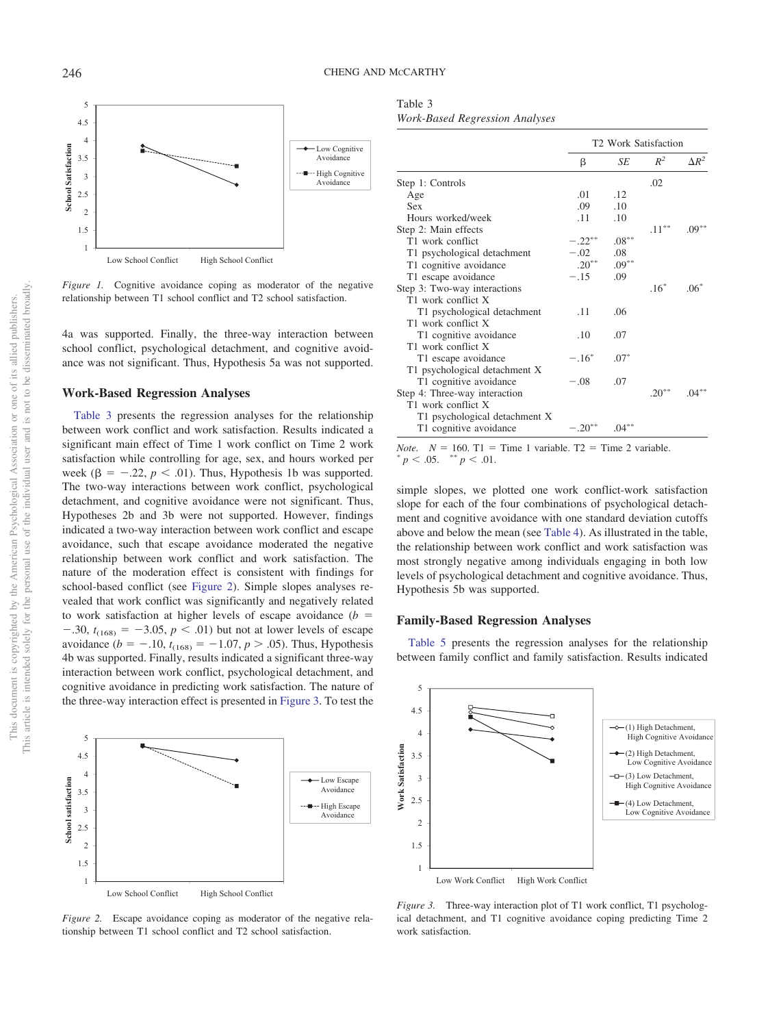

<span id="page-5-0"></span>*Figure 1.* Cognitive avoidance coping as moderator of the negative relationship between T1 school conflict and T2 school satisfaction.

4a was supported. Finally, the three-way interaction between school conflict, psychological detachment, and cognitive avoidance was not significant. Thus, Hypothesis 5a was not supported.

#### **Work-Based Regression Analyses**

[Table 3](#page-5-1) presents the regression analyses for the relationship between work conflict and work satisfaction. Results indicated a significant main effect of Time 1 work conflict on Time 2 work satisfaction while controlling for age, sex, and hours worked per week ( $\beta = -.22$ ,  $p < .01$ ). Thus, Hypothesis 1b was supported. The two-way interactions between work conflict, psychological detachment, and cognitive avoidance were not significant. Thus, Hypotheses 2b and 3b were not supported. However, findings indicated a two-way interaction between work conflict and escape avoidance, such that escape avoidance moderated the negative relationship between work conflict and work satisfaction. The nature of the moderation effect is consistent with findings for school-based conflict (see [Figure 2\)](#page-5-2). Simple slopes analyses revealed that work conflict was significantly and negatively related to work satisfaction at higher levels of escape avoidance (*b*  $-30$ ,  $t_{(168)} = -3.05$ ,  $p < .01$ ) but not at lower levels of escape avoidance ( $b = -.10$ ,  $t_{(168)} = -1.07$ ,  $p > .05$ ). Thus, Hypothesis 4b was supported. Finally, results indicated a significant three-way interaction between work conflict, psychological detachment, and cognitive avoidance in predicting work satisfaction. The nature of the three-way interaction effect is presented in [Figure 3.](#page-5-3) To test the



<span id="page-5-2"></span>*Figure 2.* Escape avoidance coping as moderator of the negative relationship between T1 school conflict and T2 school satisfaction.

<span id="page-5-1"></span>

| Table 3                        |  |
|--------------------------------|--|
| Work-Based Regression Analyses |  |

|                               |          |                  | T <sub>2</sub> Work Satisfaction |              |
|-------------------------------|----------|------------------|----------------------------------|--------------|
|                               | β        | SE               | $R^2$                            | $\Delta R^2$ |
| Step 1: Controls              |          |                  | .02                              |              |
| Age                           | .01      | .12              |                                  |              |
| <b>Sex</b>                    | .09      | .10              |                                  |              |
| Hours worked/week             | .11      | .10              |                                  |              |
| Step 2: Main effects          |          |                  | $.11^{\ast\ast}$                 | $.09***$     |
| T1 work conflict              | $-.22**$ | $.08^{\ast\ast}$ |                                  |              |
| T1 psychological detachment   | $-.02$   | .08              |                                  |              |
| T1 cognitive avoidance        | $.20***$ | $.09***$         |                                  |              |
| T1 escape avoidance           | $-.15$   | .09              |                                  |              |
| Step 3: Two-way interactions  |          |                  | $.16*$                           | $.06*$       |
| T1 work conflict X            |          |                  |                                  |              |
| T1 psychological detachment   | .11      | .06              |                                  |              |
| T1 work conflict X            |          |                  |                                  |              |
| T1 cognitive avoidance        | .10      | .07              |                                  |              |
| T1 work conflict X            |          |                  |                                  |              |
| T1 escape avoidance           | $-.16^*$ | $.07*$           |                                  |              |
| T1 psychological detachment X |          |                  |                                  |              |
| T1 cognitive avoidance        | $-.08$   | .07              |                                  |              |
| Step 4: Three-way interaction |          |                  | $.20***$                         | $.04***$     |
| T1 work conflict X            |          |                  |                                  |              |
| T1 psychological detachment X |          |                  |                                  |              |
| T1 cognitive avoidance        | $-.20**$ | $.04***$         |                                  |              |

*Note.*  $N = 160$ . T1 = Time 1 variable. T2 = Time 2 variable.  $p < .05$ . \*\*  $p < .01$ .

simple slopes, we plotted one work conflict-work satisfaction slope for each of the four combinations of psychological detachment and cognitive avoidance with one standard deviation cutoffs above and below the mean (see [Table 4\)](#page-6-0). As illustrated in the table, the relationship between work conflict and work satisfaction was most strongly negative among individuals engaging in both low levels of psychological detachment and cognitive avoidance. Thus, Hypothesis 5b was supported.

#### **Family-Based Regression Analyses**

work satisfaction.

[Table 5](#page-6-1) presents the regression analyses for the relationship between family conflict and family satisfaction. Results indicated

<span id="page-5-3"></span>1 Low Work Conflict High Work Conflict *Figure 3.* Three-way interaction plot of T1 work conflict, T1 psychological detachment, and T1 cognitive avoidance coping predicting Time 2

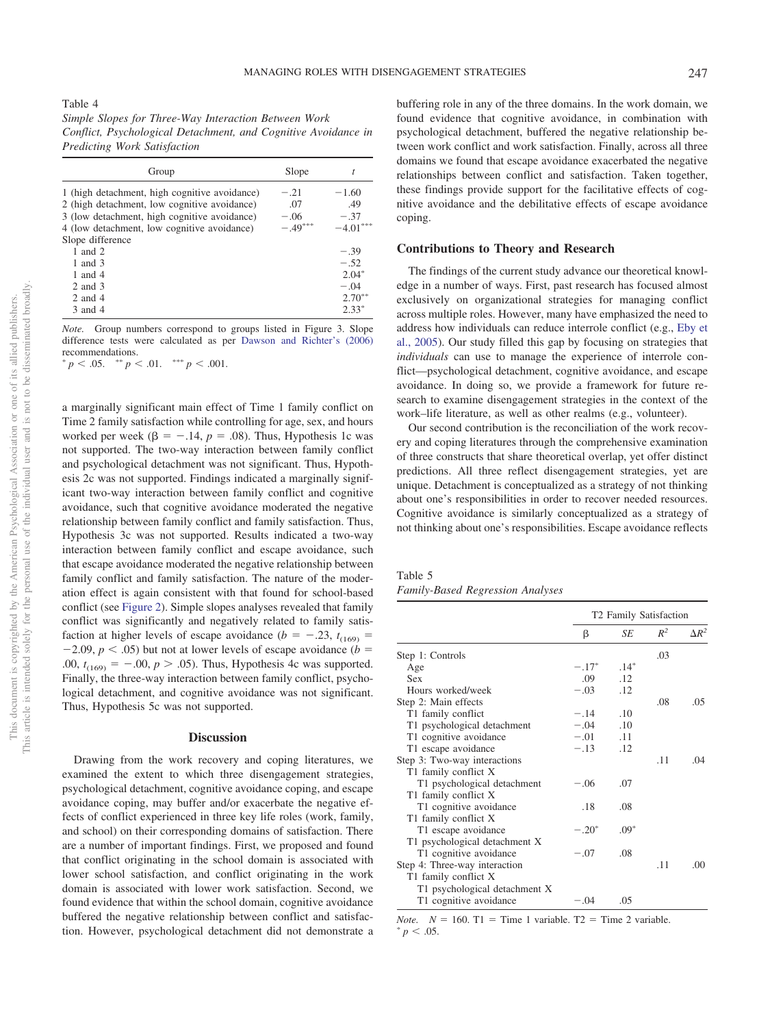<span id="page-6-0"></span>Table 4 *Simple Slopes for Three-Way Interaction Between Work Conflict, Psychological Detachment, and Cognitive Avoidance in Predicting Work Satisfaction*

| Group                                                                                         | Slope               |                      |
|-----------------------------------------------------------------------------------------------|---------------------|----------------------|
| 1 (high detachment, high cognitive avoidance)<br>2 (high detachment, low cognitive avoidance) | $-.21$<br>.07       | $-1.60$<br>.49       |
| 3 (low detachment, high cognitive avoidance)<br>4 (low detachment, low cognitive avoidance)   | $-.06$<br>$-.49***$ | $-.37$<br>$-4.01***$ |
| Slope difference                                                                              |                     |                      |
| $1$ and $2$<br>1 and 3                                                                        |                     | $-.39$<br>$-.52$     |
| 1 and 4<br>2 and 3                                                                            |                     | $2.04*$<br>$-.04$    |
| $2$ and $4$                                                                                   |                     | $2.70**$             |
| 3 and 4                                                                                       |                     | $2.33*$              |

*Note.* Group numbers correspond to groups listed in Figure 3. Slope difference tests were calculated as per [Dawson and Richter's \(2006\)](#page-8-17) recommendations.

 $p < .05.$  \*\*  $p < .01.$  \*\*\*  $p < .001.$ 

a marginally significant main effect of Time 1 family conflict on Time 2 family satisfaction while controlling for age, sex, and hours worked per week ( $\beta = -.14$ ,  $p = .08$ ). Thus, Hypothesis 1c was not supported. The two-way interaction between family conflict and psychological detachment was not significant. Thus, Hypothesis 2c was not supported. Findings indicated a marginally significant two-way interaction between family conflict and cognitive avoidance, such that cognitive avoidance moderated the negative relationship between family conflict and family satisfaction. Thus, Hypothesis 3c was not supported. Results indicated a two-way interaction between family conflict and escape avoidance, such that escape avoidance moderated the negative relationship between family conflict and family satisfaction. The nature of the moderation effect is again consistent with that found for school-based conflict (see [Figure 2\)](#page-5-2). Simple slopes analyses revealed that family conflict was significantly and negatively related to family satisfaction at higher levels of escape avoidance ( $b = -.23$ ,  $t_{(169)} =$  $-2.09$ ,  $p < .05$ ) but not at lower levels of escape avoidance (*b* = .00,  $t_{(169)} = -.00, p > .05$ ). Thus, Hypothesis 4c was supported. Finally, the three-way interaction between family conflict, psychological detachment, and cognitive avoidance was not significant. Thus, Hypothesis 5c was not supported.

#### **Discussion**

Drawing from the work recovery and coping literatures, we examined the extent to which three disengagement strategies, psychological detachment, cognitive avoidance coping, and escape avoidance coping, may buffer and/or exacerbate the negative effects of conflict experienced in three key life roles (work, family, and school) on their corresponding domains of satisfaction. There are a number of important findings. First, we proposed and found that conflict originating in the school domain is associated with lower school satisfaction, and conflict originating in the work domain is associated with lower work satisfaction. Second, we found evidence that within the school domain, cognitive avoidance buffered the negative relationship between conflict and satisfaction. However, psychological detachment did not demonstrate a buffering role in any of the three domains. In the work domain, we found evidence that cognitive avoidance, in combination with psychological detachment, buffered the negative relationship between work conflict and work satisfaction. Finally, across all three domains we found that escape avoidance exacerbated the negative relationships between conflict and satisfaction. Taken together, these findings provide support for the facilitative effects of cognitive avoidance and the debilitative effects of escape avoidance coping.

#### **Contributions to Theory and Research**

The findings of the current study advance our theoretical knowledge in a number of ways. First, past research has focused almost exclusively on organizational strategies for managing conflict across multiple roles. However, many have emphasized the need to address how individuals can reduce interrole conflict (e.g., [Eby et](#page-8-8) [al., 2005\)](#page-8-8). Our study filled this gap by focusing on strategies that *individuals* can use to manage the experience of interrole conflict—psychological detachment, cognitive avoidance, and escape avoidance. In doing so, we provide a framework for future research to examine disengagement strategies in the context of the work–life literature, as well as other realms (e.g., volunteer).

Our second contribution is the reconciliation of the work recovery and coping literatures through the comprehensive examination of three constructs that share theoretical overlap, yet offer distinct predictions. All three reflect disengagement strategies, yet are unique. Detachment is conceptualized as a strategy of not thinking about one's responsibilities in order to recover needed resources. Cognitive avoidance is similarly conceptualized as a strategy of not thinking about one's responsibilities. Escape avoidance reflects

<span id="page-6-1"></span>Table 5 *Family-Based Regression Analyses*

| β        | SE     | $R^2$ | $\Delta R^2$           |
|----------|--------|-------|------------------------|
|          |        | .03   |                        |
| $-.17*$  | $.14*$ |       |                        |
| .09      | .12    |       |                        |
| $-.03$   | .12    |       |                        |
|          |        | .08   | .05                    |
| $-.14$   | .10    |       |                        |
| $-.04$   | .10    |       |                        |
| $-.01$   | .11    |       |                        |
| $-.13$   | .12    |       |                        |
|          |        | .11   | 04                     |
|          |        |       |                        |
| $-.06$   | .07    |       |                        |
|          |        |       |                        |
| .18      | .08    |       |                        |
|          |        |       |                        |
| $-.20^*$ | $.09*$ |       |                        |
|          |        |       |                        |
| $-.07$   | .08    |       |                        |
|          |        | .11   | .00                    |
|          |        |       |                        |
|          |        |       |                        |
| $-.04$   | .05    |       |                        |
|          |        |       | T2 Family Satisfaction |

*Note.*  $N = 160$ . T1 = Time 1 variable. T2 = Time 2 variable.  $p < .05$ .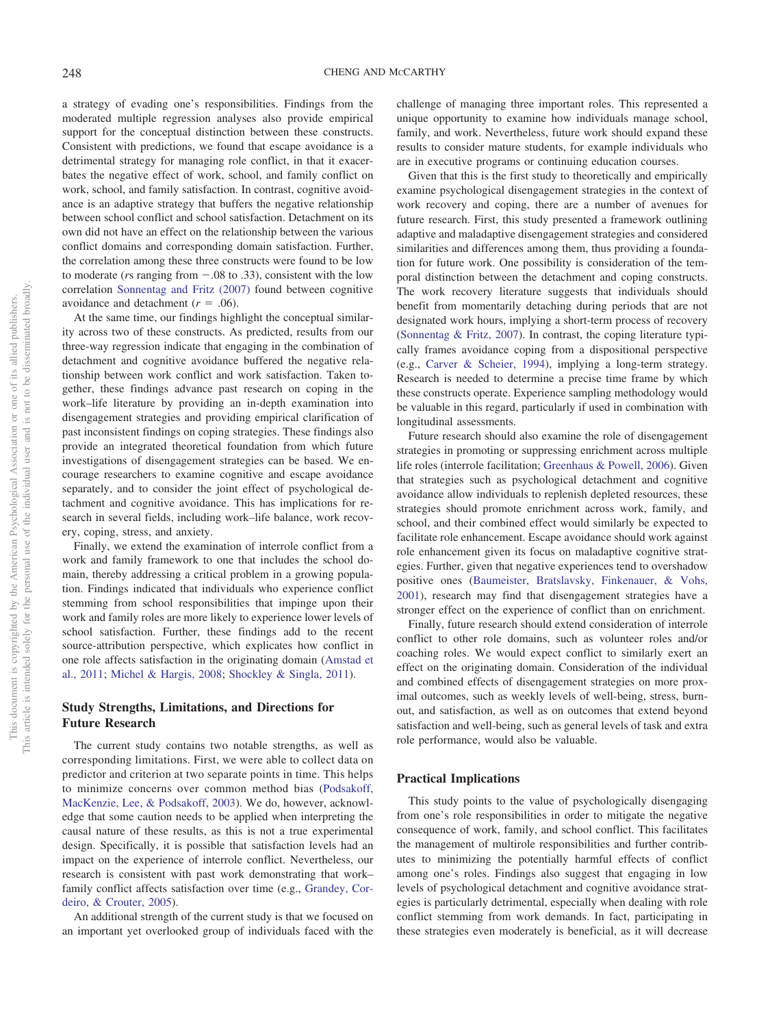a strategy of evading one's responsibilities. Findings from the moderated multiple regression analyses also provide empirical support for the conceptual distinction between these constructs. Consistent with predictions, we found that escape avoidance is a detrimental strategy for managing role conflict, in that it exacerbates the negative effect of work, school, and family conflict on work, school, and family satisfaction. In contrast, cognitive avoidance is an adaptive strategy that buffers the negative relationship between school conflict and school satisfaction. Detachment on its own did not have an effect on the relationship between the various conflict domains and corresponding domain satisfaction. Further, the correlation among these three constructs were found to be low to moderate ( $r$ s ranging from  $-.08$  to .33), consistent with the low correlation [Sonnentag and Fritz \(2007\)](#page-10-0) found between cognitive avoidance and detachment  $(r = .06)$ .

At the same time, our findings highlight the conceptual similarity across two of these constructs. As predicted, results from our three-way regression indicate that engaging in the combination of detachment and cognitive avoidance buffered the negative relationship between work conflict and work satisfaction. Taken together, these findings advance past research on coping in the work–life literature by providing an in-depth examination into disengagement strategies and providing empirical clarification of past inconsistent findings on coping strategies. These findings also provide an integrated theoretical foundation from which future investigations of disengagement strategies can be based. We encourage researchers to examine cognitive and escape avoidance separately, and to consider the joint effect of psychological detachment and cognitive avoidance. This has implications for research in several fields, including work–life balance, work recovery, coping, stress, and anxiety.

Finally, we extend the examination of interrole conflict from a work and family framework to one that includes the school domain, thereby addressing a critical problem in a growing population. Findings indicated that individuals who experience conflict stemming from school responsibilities that impinge upon their work and family roles are more likely to experience lower levels of school satisfaction. Further, these findings add to the recent source-attribution perspective, which explicates how conflict in one role affects satisfaction in the originating domain [\(Amstad et](#page-8-5) [al., 2011;](#page-8-5) [Michel & Hargis, 2008;](#page-9-14) [Shockley & Singla, 2011\)](#page-9-16).

## **Study Strengths, Limitations, and Directions for Future Research**

The current study contains two notable strengths, as well as corresponding limitations. First, we were able to collect data on predictor and criterion at two separate points in time. This helps to minimize concerns over common method bias [\(Podsakoff,](#page-9-31) [MacKenzie, Lee, & Podsakoff, 2003\)](#page-9-31). We do, however, acknowledge that some caution needs to be applied when interpreting the causal nature of these results, as this is not a true experimental design. Specifically, it is possible that satisfaction levels had an impact on the experience of interrole conflict. Nevertheless, our research is consistent with past work demonstrating that work– family conflict affects satisfaction over time (e.g., [Grandey, Cor](#page-9-32)[deiro, & Crouter, 2005\)](#page-9-32).

An additional strength of the current study is that we focused on an important yet overlooked group of individuals faced with the

challenge of managing three important roles. This represented a unique opportunity to examine how individuals manage school, family, and work. Nevertheless, future work should expand these results to consider mature students, for example individuals who are in executive programs or continuing education courses.

Given that this is the first study to theoretically and empirically examine psychological disengagement strategies in the context of work recovery and coping, there are a number of avenues for future research. First, this study presented a framework outlining adaptive and maladaptive disengagement strategies and considered similarities and differences among them, thus providing a foundation for future work. One possibility is consideration of the temporal distinction between the detachment and coping constructs. The work recovery literature suggests that individuals should benefit from momentarily detaching during periods that are not designated work hours, implying a short-term process of recovery [\(Sonnentag & Fritz, 2007\)](#page-10-0). In contrast, the coping literature typically frames avoidance coping from a dispositional perspective (e.g., [Carver & Scheier, 1994\)](#page-8-18), implying a long-term strategy. Research is needed to determine a precise time frame by which these constructs operate. Experience sampling methodology would be valuable in this regard, particularly if used in combination with longitudinal assessments.

Future research should also examine the role of disengagement strategies in promoting or suppressing enrichment across multiple life roles (interrole facilitation; [Greenhaus & Powell, 2006\)](#page-9-33). Given that strategies such as psychological detachment and cognitive avoidance allow individuals to replenish depleted resources, these strategies should promote enrichment across work, family, and school, and their combined effect would similarly be expected to facilitate role enhancement. Escape avoidance should work against role enhancement given its focus on maladaptive cognitive strategies. Further, given that negative experiences tend to overshadow positive ones [\(Baumeister, Bratslavsky, Finkenauer, & Vohs,](#page-8-19) [2001\)](#page-8-19), research may find that disengagement strategies have a stronger effect on the experience of conflict than on enrichment.

Finally, future research should extend consideration of interrole conflict to other role domains, such as volunteer roles and/or coaching roles. We would expect conflict to similarly exert an effect on the originating domain. Consideration of the individual and combined effects of disengagement strategies on more proximal outcomes, such as weekly levels of well-being, stress, burnout, and satisfaction, as well as on outcomes that extend beyond satisfaction and well-being, such as general levels of task and extra role performance, would also be valuable.

#### **Practical Implications**

This study points to the value of psychologically disengaging from one's role responsibilities in order to mitigate the negative consequence of work, family, and school conflict. This facilitates the management of multirole responsibilities and further contributes to minimizing the potentially harmful effects of conflict among one's roles. Findings also suggest that engaging in low levels of psychological detachment and cognitive avoidance strategies is particularly detrimental, especially when dealing with role conflict stemming from work demands. In fact, participating in these strategies even moderately is beneficial, as it will decrease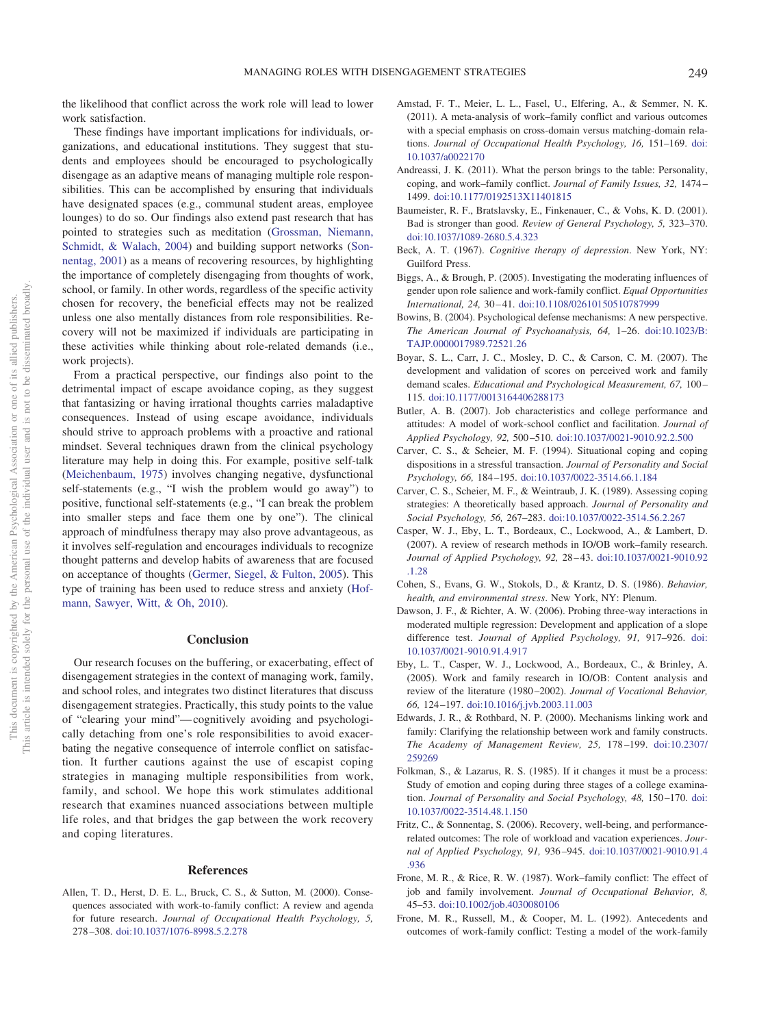the likelihood that conflict across the work role will lead to lower work satisfaction.

These findings have important implications for individuals, organizations, and educational institutions. They suggest that students and employees should be encouraged to psychologically disengage as an adaptive means of managing multiple role responsibilities. This can be accomplished by ensuring that individuals have designated spaces (e.g., communal student areas, employee lounges) to do so. Our findings also extend past research that has pointed to strategies such as meditation [\(Grossman, Niemann,](#page-9-34) [Schmidt, & Walach, 2004\)](#page-9-34) and building support networks [\(Son](#page-10-7)[nentag, 2001\)](#page-10-7) as a means of recovering resources, by highlighting the importance of completely disengaging from thoughts of work, school, or family. In other words, regardless of the specific activity chosen for recovery, the beneficial effects may not be realized unless one also mentally distances from role responsibilities. Recovery will not be maximized if individuals are participating in these activities while thinking about role-related demands (i.e., work projects).

From a practical perspective, our findings also point to the detrimental impact of escape avoidance coping, as they suggest that fantasizing or having irrational thoughts carries maladaptive consequences. Instead of using escape avoidance, individuals should strive to approach problems with a proactive and rational mindset. Several techniques drawn from the clinical psychology literature may help in doing this. For example, positive self-talk [\(Meichenbaum, 1975\)](#page-9-35) involves changing negative, dysfunctional self-statements (e.g., "I wish the problem would go away") to positive, functional self-statements (e.g., "I can break the problem into smaller steps and face them one by one"). The clinical approach of mindfulness therapy may also prove advantageous, as it involves self-regulation and encourages individuals to recognize thought patterns and develop habits of awareness that are focused on acceptance of thoughts [\(Germer, Siegel, & Fulton, 2005\)](#page-9-36). This type of training has been used to reduce stress and anxiety [\(Hof](#page-9-37)[mann, Sawyer, Witt, & Oh, 2010\)](#page-9-37).

#### **Conclusion**

Our research focuses on the buffering, or exacerbating, effect of disengagement strategies in the context of managing work, family, and school roles, and integrates two distinct literatures that discuss disengagement strategies. Practically, this study points to the value of "clearing your mind"— cognitively avoiding and psychologically detaching from one's role responsibilities to avoid exacerbating the negative consequence of interrole conflict on satisfaction. It further cautions against the use of escapist coping strategies in managing multiple responsibilities from work, family, and school. We hope this work stimulates additional research that examines nuanced associations between multiple life roles, and that bridges the gap between the work recovery and coping literatures.

#### **References**

<span id="page-8-0"></span>Allen, T. D., Herst, D. E. L., Bruck, C. S., & Sutton, M. (2000). Consequences associated with work-to-family conflict: A review and agenda for future research. *Journal of Occupational Health Psychology, 5,* 278 –308. [doi:10.1037/1076-8998.5.2.278](http://dx.doi.org/10.1037/1076-8998.5.2.278)

- <span id="page-8-5"></span>Amstad, F. T., Meier, L. L., Fasel, U., Elfering, A., & Semmer, N. K. (2011). A meta-analysis of work–family conflict and various outcomes with a special emphasis on cross-domain versus matching-domain relations. *Journal of Occupational Health Psychology, 16,* 151–169. [doi:](http://dx.doi.org/10.1037/a0022170) [10.1037/a0022170](http://dx.doi.org/10.1037/a0022170)
- <span id="page-8-9"></span>Andreassi, J. K. (2011). What the person brings to the table: Personality, coping, and work–family conflict. *Journal of Family Issues, 32,* 1474 – 1499. [doi:10.1177/0192513X11401815](http://dx.doi.org/10.1177/0192513X11401815)
- <span id="page-8-19"></span>Baumeister, R. F., Bratslavsky, E., Finkenauer, C., & Vohs, K. D. (2001). Bad is stronger than good. *Review of General Psychology, 5,* 323–370. [doi:10.1037/1089-2680.5.4.323](http://dx.doi.org/10.1037/1089-2680.5.4.323)
- <span id="page-8-12"></span>Beck, A. T. (1967). *Cognitive therapy of depression*. New York, NY: Guilford Press.
- <span id="page-8-3"></span>Biggs, A., & Brough, P. (2005). Investigating the moderating influences of gender upon role salience and work-family conflict. *Equal Opportunities International, 24,* 30 – 41. [doi:10.1108/02610150510787999](http://dx.doi.org/10.1108/02610150510787999)
- <span id="page-8-13"></span>Bowins, B. (2004). Psychological defense mechanisms: A new perspective. *The American Journal of Psychoanalysis, 64,* 1–26. [doi:10.1023/B:](http://dx.doi.org/10.1023/B:TAJP.0000017989.72521.26) [TAJP.0000017989.72521.26](http://dx.doi.org/10.1023/B:TAJP.0000017989.72521.26)
- <span id="page-8-16"></span>Boyar, S. L., Carr, J. C., Mosley, D. C., & Carson, C. M. (2007). The development and validation of scores on perceived work and family demand scales. *Educational and Psychological Measurement, 67,* 100 – 115. [doi:10.1177/0013164406288173](http://dx.doi.org/10.1177/0013164406288173)
- <span id="page-8-1"></span>Butler, A. B. (2007). Job characteristics and college performance and attitudes: A model of work-school conflict and facilitation. *Journal of Applied Psychology, 92,* 500 –510. [doi:10.1037/0021-9010.92.2.500](http://dx.doi.org/10.1037/0021-9010.92.2.500)
- <span id="page-8-18"></span>Carver, C. S., & Scheier, M. F. (1994). Situational coping and coping dispositions in a stressful transaction. *Journal of Personality and Social Psychology, 66,* 184 –195. [doi:10.1037/0022-3514.66.1.184](http://dx.doi.org/10.1037/0022-3514.66.1.184)
- <span id="page-8-7"></span>Carver, C. S., Scheier, M. F., & Weintraub, J. K. (1989). Assessing coping strategies: A theoretically based approach. *Journal of Personality and Social Psychology, 56,* 267–283. [doi:10.1037/0022-3514.56.2.267](http://dx.doi.org/10.1037/0022-3514.56.2.267)
- <span id="page-8-2"></span>Casper, W. J., Eby, L. T., Bordeaux, C., Lockwood, A., & Lambert, D. (2007). A review of research methods in IO/OB work–family research. *Journal of Applied Psychology, 92,* 28 – 43. [doi:10.1037/0021-9010.92](http://dx.doi.org/10.1037/0021-9010.92.1.28) [.1.28](http://dx.doi.org/10.1037/0021-9010.92.1.28)
- <span id="page-8-11"></span>Cohen, S., Evans, G. W., Stokols, D., & Krantz, D. S. (1986). *Behavior, health, and environmental stress*. New York, NY: Plenum.
- <span id="page-8-17"></span>Dawson, J. F., & Richter, A. W. (2006). Probing three-way interactions in moderated multiple regression: Development and application of a slope difference test. *Journal of Applied Psychology, 91,* 917–926. [doi:](http://dx.doi.org/10.1037/0021-9010.91.4.917) [10.1037/0021-9010.91.4.917](http://dx.doi.org/10.1037/0021-9010.91.4.917)
- <span id="page-8-8"></span>Eby, L. T., Casper, W. J., Lockwood, A., Bordeaux, C., & Brinley, A. (2005). Work and family research in IO/OB: Content analysis and review of the literature (1980 –2002). *Journal of Vocational Behavior, 66,* 124 –197. [doi:10.1016/j.jvb.2003.11.003](http://dx.doi.org/10.1016/j.jvb.2003.11.003)
- <span id="page-8-14"></span>Edwards, J. R., & Rothbard, N. P. (2000). Mechanisms linking work and family: Clarifying the relationship between work and family constructs. *The Academy of Management Review, 25,* 178 –199. [doi:10.2307/](http://dx.doi.org/10.2307/259269) [259269](http://dx.doi.org/10.2307/259269)
- <span id="page-8-10"></span>Folkman, S., & Lazarus, R. S. (1985). If it changes it must be a process: Study of emotion and coping during three stages of a college examination. *Journal of Personality and Social Psychology, 48, 150-170.* [doi:](http://dx.doi.org/10.1037/0022-3514.48.1.150) [10.1037/0022-3514.48.1.150](http://dx.doi.org/10.1037/0022-3514.48.1.150)
- <span id="page-8-6"></span>Fritz, C., & Sonnentag, S. (2006). Recovery, well-being, and performancerelated outcomes: The role of workload and vacation experiences. *Journal of Applied Psychology, 91,* 936 –945. [doi:10.1037/0021-9010.91.4](http://dx.doi.org/10.1037/0021-9010.91.4.936) [.936](http://dx.doi.org/10.1037/0021-9010.91.4.936)
- <span id="page-8-15"></span>Frone, M. R., & Rice, R. W. (1987). Work–family conflict: The effect of job and family involvement. *Journal of Occupational Behavior, 8,* 45–53. [doi:10.1002/job.4030080106](http://dx.doi.org/10.1002/job.4030080106)
- <span id="page-8-4"></span>Frone, M. R., Russell, M., & Cooper, M. L. (1992). Antecedents and outcomes of work-family conflict: Testing a model of the work-family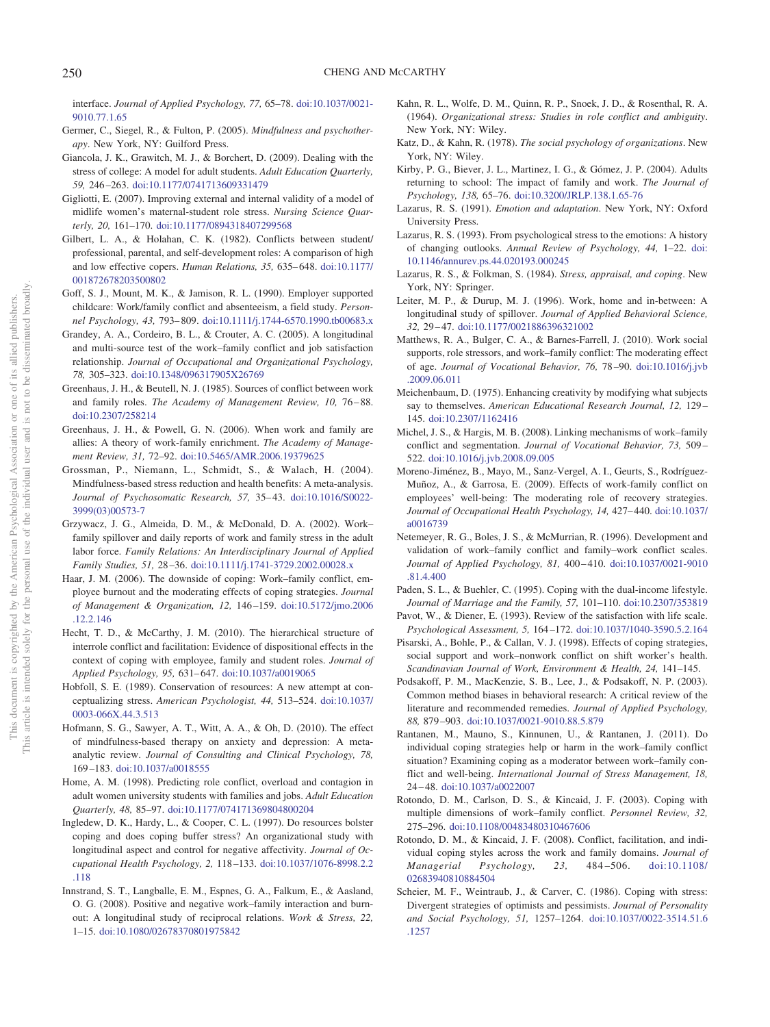<span id="page-9-16"></span>interface. *Journal of Applied Psychology, 77,* 65–78. [doi:10.1037/0021-](http://dx.doi.org/10.1037/0021-9010.77.1.65) [9010.77.1.65](http://dx.doi.org/10.1037/0021-9010.77.1.65)

- <span id="page-9-36"></span>Germer, C., Siegel, R., & Fulton, P. (2005). *Mindfulness and psychotherapy*. New York, NY: Guilford Press.
- <span id="page-9-9"></span>Giancola, J. K., Grawitch, M. J., & Borchert, D. (2009). Dealing with the stress of college: A model for adult students. *Adult Education Quarterly, 59,* 246 –263. [doi:10.1177/0741713609331479](http://dx.doi.org/10.1177/0741713609331479)
- <span id="page-9-10"></span>Gigliotti, E. (2007). Improving external and internal validity of a model of midlife women's maternal-student role stress. *Nursing Science Quarterly, 20,* 161–170. [doi:10.1177/0894318407299568](http://dx.doi.org/10.1177/0894318407299568)
- <span id="page-9-11"></span>Gilbert, L. A., & Holahan, C. K. (1982). Conflicts between student/ professional, parental, and self-development roles: A comparison of high and low effective copers. *Human Relations, 35,* 635– 648. [doi:10.1177/](http://dx.doi.org/10.1177/001872678203500802) [001872678203500802](http://dx.doi.org/10.1177/001872678203500802)
- <span id="page-9-1"></span>Goff, S. J., Mount, M. K., & Jamison, R. L. (1990). Employer supported childcare: Work/family conflict and absenteeism, a field study. *Personnel Psychology, 43,* 793– 809. [doi:10.1111/j.1744-6570.1990.tb00683.x](http://dx.doi.org/10.1111/j.1744-6570.1990.tb00683.x)
- <span id="page-9-32"></span>Grandey, A. A., Cordeiro, B. L., & Crouter, A. C. (2005). A longitudinal and multi-source test of the work–family conflict and job satisfaction relationship. *Journal of Occupational and Organizational Psychology, 78,* 305–323. [doi:10.1348/096317905X26769](http://dx.doi.org/10.1348/096317905X26769)
- <span id="page-9-0"></span>Greenhaus, J. H., & Beutell, N. J. (1985). Sources of conflict between work and family roles. *The Academy of Management Review, 10, 76-88*. [doi:10.2307/258214](http://dx.doi.org/10.2307/258214)
- <span id="page-9-33"></span>Greenhaus, J. H., & Powell, G. N. (2006). When work and family are allies: A theory of work-family enrichment. *The Academy of Management Review, 31,* 72–92. [doi:10.5465/AMR.2006.19379625](http://dx.doi.org/10.5465/AMR.2006.19379625)
- <span id="page-9-34"></span>Grossman, P., Niemann, L., Schmidt, S., & Walach, H. (2004). Mindfulness-based stress reduction and health benefits: A meta-analysis. *Journal of Psychosomatic Research, 57,* 35– 43. [doi:10.1016/S0022-](http://dx.doi.org/10.1016/S0022-3999%2803%2900573-7) [3999\(03\)00573-7](http://dx.doi.org/10.1016/S0022-3999%2803%2900573-7)
- <span id="page-9-29"></span>Grzywacz, J. G., Almeida, D. M., & McDonald, D. A. (2002). Work– family spillover and daily reports of work and family stress in the adult labor force. *Family Relations: An Interdisciplinary Journal of Applied Family Studies, 51,* 28 –36. [doi:10.1111/j.1741-3729.2002.00028.x](http://dx.doi.org/10.1111/j.1741-3729.2002.00028.x)
- <span id="page-9-22"></span>Haar, J. M. (2006). The downside of coping: Work–family conflict, employee burnout and the moderating effects of coping strategies. *Journal of Management & Organization, 12,* 146 –159. [doi:10.5172/jmo.2006](http://dx.doi.org/10.5172/jmo.2006.12.2.146) [.12.2.146](http://dx.doi.org/10.5172/jmo.2006.12.2.146)
- <span id="page-9-3"></span>Hecht, T. D., & McCarthy, J. M. (2010). The hierarchical structure of interrole conflict and facilitation: Evidence of dispositional effects in the context of coping with employee, family and student roles. *Journal of Applied Psychology, 95,* 631– 647. [doi:10.1037/a0019065](http://dx.doi.org/10.1037/a0019065)
- <span id="page-9-20"></span>Hobfoll, S. E. (1989). Conservation of resources: A new attempt at conceptualizing stress. *American Psychologist, 44,* 513–524. [doi:10.1037/](http://dx.doi.org/10.1037/0003-066X.44.3.513) [0003-066X.44.3.513](http://dx.doi.org/10.1037/0003-066X.44.3.513)
- <span id="page-9-37"></span>Hofmann, S. G., Sawyer, A. T., Witt, A. A., & Oh, D. (2010). The effect of mindfulness-based therapy on anxiety and depression: A metaanalytic review. *Journal of Consulting and Clinical Psychology, 78,* 169 –183. [doi:10.1037/a0018555](http://dx.doi.org/10.1037/a0018555)
- <span id="page-9-12"></span>Home, A. M. (1998). Predicting role conflict, overload and contagion in adult women university students with families and jobs. *Adult Education Quarterly, 48,* 85–97. [doi:10.1177/074171369804800204](http://dx.doi.org/10.1177/074171369804800204)
- <span id="page-9-19"></span>Ingledew, D. K., Hardy, L., & Cooper, C. L. (1997). Do resources bolster coping and does coping buffer stress? An organizational study with longitudinal aspect and control for negative affectivity. *Journal of Occupational Health Psychology, 2,* 118 –133. [doi:10.1037/1076-8998.2.2](http://dx.doi.org/10.1037/1076-8998.2.2.118) [.118](http://dx.doi.org/10.1037/1076-8998.2.2.118)
- <span id="page-9-23"></span>Innstrand, S. T., Langballe, E. M., Espnes, G. A., Falkum, E., & Aasland, O. G. (2008). Positive and negative work–family interaction and burnout: A longitudinal study of reciprocal relations. *Work & Stress, 22,* 1–15. [doi:10.1080/02678370801975842](http://dx.doi.org/10.1080/02678370801975842)
- <span id="page-9-7"></span>Kahn, R. L., Wolfe, D. M., Quinn, R. P., Snoek, J. D., & Rosenthal, R. A. (1964). *Organizational stress: Studies in role conflict and ambiguity*. New York, NY: Wiley.
- <span id="page-9-6"></span>Katz, D., & Kahn, R. (1978). *The social psychology of organizations*. New York, NY: Wiley.
- <span id="page-9-13"></span>Kirby, P. G., Biever, J. L., Martinez, I. G., & Gómez, J. P. (2004). Adults returning to school: The impact of family and work. *The Journal of Psychology, 138,* 65–76. [doi:10.3200/JRLP.138.1.65-76](http://dx.doi.org/10.3200/JRLP.138.1.65-76)
- <span id="page-9-15"></span>Lazarus, R. S. (1991). *Emotion and adaptation*. New York, NY: Oxford University Press.
- <span id="page-9-18"></span>Lazarus, R. S. (1993). From psychological stress to the emotions: A history of changing outlooks. *Annual Review of Psychology, 44,* 1–22. [doi:](http://dx.doi.org/10.1146/annurev.ps.44.020193.000245) [10.1146/annurev.ps.44.020193.000245](http://dx.doi.org/10.1146/annurev.ps.44.020193.000245)
- <span id="page-9-2"></span>Lazarus, R. S., & Folkman, S. (1984). *Stress, appraisal, and coping*. New York, NY: Springer.
- <span id="page-9-8"></span>Leiter, M. P., & Durup, M. J. (1996). Work, home and in-between: A longitudinal study of spillover. *Journal of Applied Behavioral Science, 32,* 29 – 47. [doi:10.1177/0021886396321002](http://dx.doi.org/10.1177/0021886396321002)
- <span id="page-9-30"></span>Matthews, R. A., Bulger, C. A., & Barnes-Farrell, J. (2010). Work social supports, role stressors, and work–family conflict: The moderating effect of age. *Journal of Vocational Behavior, 76,* 78 –90. [doi:10.1016/j.jvb](http://dx.doi.org/10.1016/j.jvb.2009.06.011) [.2009.06.011](http://dx.doi.org/10.1016/j.jvb.2009.06.011)
- <span id="page-9-35"></span>Meichenbaum, D. (1975). Enhancing creativity by modifying what subjects say to themselves. *American Educational Research Journal, 12,* 129 – 145. [doi:10.2307/1162416](http://dx.doi.org/10.2307/1162416)
- <span id="page-9-14"></span>Michel, J. S., & Hargis, M. B. (2008). Linking mechanisms of work–family conflict and segmentation. *Journal of Vocational Behavior, 73,* 509 – 522. [doi:10.1016/j.jvb.2008.09.005](http://dx.doi.org/10.1016/j.jvb.2008.09.005)
- <span id="page-9-5"></span>Moreno-Jiménez, B., Mayo, M., Sanz-Vergel, A. I., Geurts, S., Rodríguez-Muñoz, A., & Garrosa, E. (2009). Effects of work-family conflict on employees' well-being: The moderating role of recovery strategies. *Journal of Occupational Health Psychology, 14,* 427– 440. [doi:10.1037/](http://dx.doi.org/10.1037/a0016739) [a0016739](http://dx.doi.org/10.1037/a0016739)
- <span id="page-9-27"></span>Netemeyer, R. G., Boles, J. S., & McMurrian, R. (1996). Development and validation of work–family conflict and family–work conflict scales. *Journal of Applied Psychology, 81,* 400 – 410. [doi:10.1037/0021-9010](http://dx.doi.org/10.1037/0021-9010.81.4.400) [.81.4.400](http://dx.doi.org/10.1037/0021-9010.81.4.400)
- <span id="page-9-24"></span>Paden, S. L., & Buehler, C. (1995). Coping with the dual-income lifestyle. *Journal of Marriage and the Family, 57,* 101–110. [doi:10.2307/353819](http://dx.doi.org/10.2307/353819)
- <span id="page-9-28"></span>Pavot, W., & Diener, E. (1993). Review of the satisfaction with life scale. *Psychological Assessment, 5,* 164 –172. [doi:10.1037/1040-3590.5.2.164](http://dx.doi.org/10.1037/1040-3590.5.2.164)
- <span id="page-9-26"></span>Pisarski, A., Bohle, P., & Callan, V. J. (1998). Effects of coping strategies, social support and work–nonwork conflict on shift worker's health. *Scandinavian Journal of Work, Environment & Health, 24,* 141–145.
- <span id="page-9-31"></span>Podsakoff, P. M., MacKenzie, S. B., Lee, J., & Podsakoff, N. P. (2003). Common method biases in behavioral research: A critical review of the literature and recommended remedies. *Journal of Applied Psychology, 88,* 879 –903. [doi:10.1037/0021-9010.88.5.879](http://dx.doi.org/10.1037/0021-9010.88.5.879)
- <span id="page-9-25"></span>Rantanen, M., Mauno, S., Kinnunen, U., & Rantanen, J. (2011). Do individual coping strategies help or harm in the work–family conflict situation? Examining coping as a moderator between work–family conflict and well-being. *International Journal of Stress Management, 18,* 24 – 48. [doi:10.1037/a0022007](http://dx.doi.org/10.1037/a0022007)
- <span id="page-9-4"></span>Rotondo, D. M., Carlson, D. S., & Kincaid, J. F. (2003). Coping with multiple dimensions of work–family conflict. *Personnel Review, 32,* 275–296. [doi:10.1108/00483480310467606](http://dx.doi.org/10.1108/00483480310467606)
- <span id="page-9-21"></span>Rotondo, D. M., & Kincaid, J. F. (2008). Conflict, facilitation, and individual coping styles across the work and family domains. *Journal of Managerial Psychology, 23,* 484 –506. [doi:10.1108/](http://dx.doi.org/10.1108/02683940810884504) [02683940810884504](http://dx.doi.org/10.1108/02683940810884504)
- <span id="page-9-17"></span>Scheier, M. F., Weintraub, J., & Carver, C. (1986). Coping with stress: Divergent strategies of optimists and pessimists. *Journal of Personality and Social Psychology, 51,* 1257–1264. [doi:10.1037/0022-3514.51.6](http://dx.doi.org/10.1037/0022-3514.51.6.1257) [.1257](http://dx.doi.org/10.1037/0022-3514.51.6.1257)